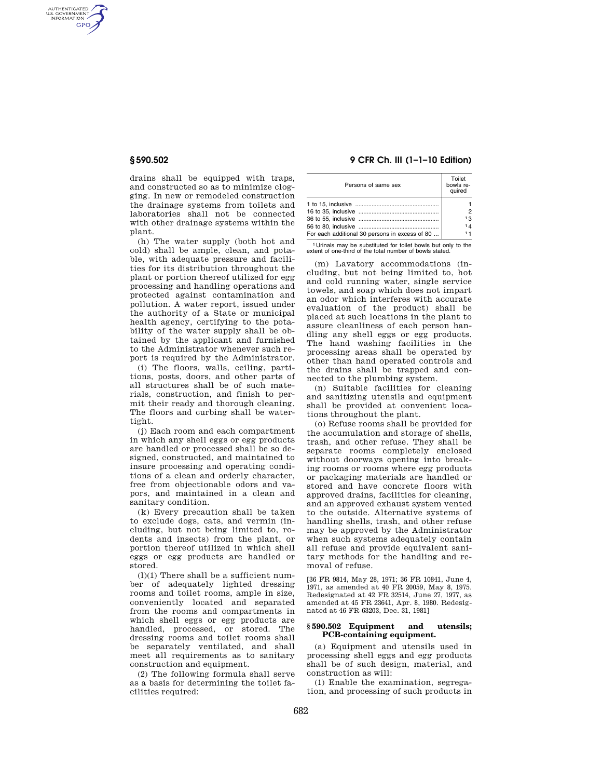AUTHENTICATED<br>U.S. GOVERNMENT<br>INFORMATION **GPO** 

> drains shall be equipped with traps, and constructed so as to minimize clogging. In new or remodeled construction the drainage systems from toilets and laboratories shall not be connected with other drainage systems within the plant.

> (h) The water supply (both hot and cold) shall be ample, clean, and potable, with adequate pressure and facilities for its distribution throughout the plant or portion thereof utilized for egg processing and handling operations and protected against contamination and pollution. A water report, issued under the authority of a State or municipal health agency, certifying to the potability of the water supply shall be obtained by the applicant and furnished to the Administrator whenever such report is required by the Administrator.

> (i) The floors, walls, ceiling, partitions, posts, doors, and other parts of all structures shall be of such materials, construction, and finish to permit their ready and thorough cleaning. The floors and curbing shall be watertight.

> (j) Each room and each compartment in which any shell eggs or egg products are handled or processed shall be so designed, constructed, and maintained to insure processing and operating conditions of a clean and orderly character, free from objectionable odors and vapors, and maintained in a clean and sanitary condition.

> (k) Every precaution shall be taken to exclude dogs, cats, and vermin (including, but not being limited to, rodents and insects) from the plant, or portion thereof utilized in which shell eggs or egg products are handled or stored.

> $(l)(1)$  There shall be a sufficient number of adequately lighted dressing rooms and toilet rooms, ample in size, conveniently located and separated from the rooms and compartments in which shell eggs or egg products are handled, processed, or stored. The dressing rooms and toilet rooms shall be separately ventilated, and shall meet all requirements as to sanitary construction and equipment.

> (2) The following formula shall serve as a basis for determining the toilet facilities required:

# **§ 590.502 9 CFR Ch. III (1–1–10 Edition)**

| Persons of same sex                            | Toilet<br>bowls re-<br>quired |
|------------------------------------------------|-------------------------------|
|                                                |                               |
|                                                |                               |
|                                                |                               |
|                                                | 13                            |
|                                                | 14                            |
| For each additional 30 persons in excess of 80 | 11                            |

1 Urinals may be substituted for toilet bowls but only to the extent of one-third of the total number of bowls stated.

(m) Lavatory accommodations (including, but not being limited to, hot and cold running water, single service towels, and soap which does not impart an odor which interferes with accurate evaluation of the product) shall be placed at such locations in the plant to assure cleanliness of each person handling any shell eggs or egg products. The hand washing facilities in the processing areas shall be operated by other than hand operated controls and the drains shall be trapped and connected to the plumbing system.

(n) Suitable facilities for cleaning and sanitizing utensils and equipment shall be provided at convenient locations throughout the plant.

(o) Refuse rooms shall be provided for the accumulation and storage of shells, trash, and other refuse. They shall be separate rooms completely enclosed without doorways opening into breaking rooms or rooms where egg products or packaging materials are handled or stored and have concrete floors with approved drains, facilities for cleaning, and an approved exhaust system vented to the outside. Alternative systems of handling shells, trash, and other refuse may be approved by the Administrator when such systems adequately contain all refuse and provide equivalent sanitary methods for the handling and removal of refuse.

[36 FR 9814, May 28, 1971; 36 FR 10841, June 4, 1971, as amended at 40 FR 20059, May 8, 1975. Redesignated at 42 FR 32514, June 27, 1977, as amended at 45 FR 23641, Apr. 8, 1980. Redesignated at 46 FR 63203, Dec. 31, 1981]

## **§ 590.502 Equipment and utensils; PCB-containing equipment.**

(a) Equipment and utensils used in processing shell eggs and egg products shall be of such design, material, and construction as will:

(1) Enable the examination, segregation, and processing of such products in